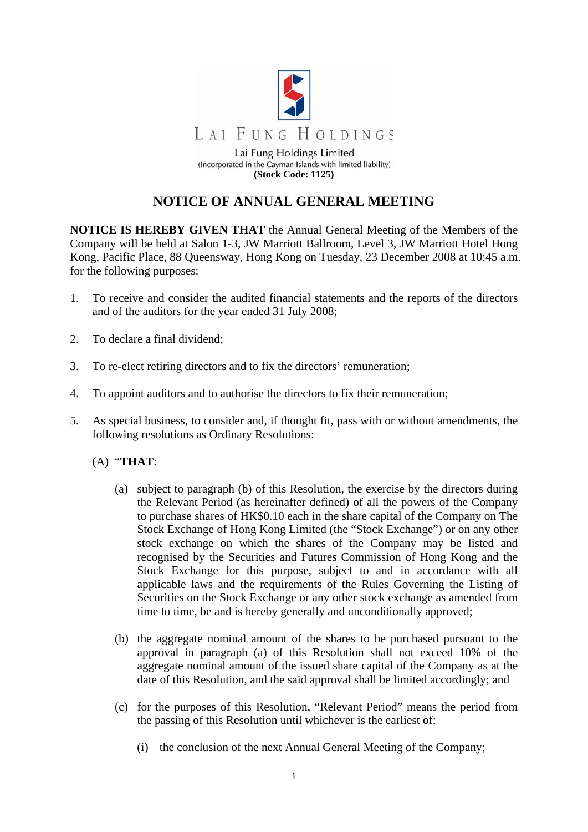

## **NOTICE OF ANNUAL GENERAL MEETING**

**NOTICE IS HEREBY GIVEN THAT** the Annual General Meeting of the Members of the Company will be held at Salon 1-3, JW Marriott Ballroom, Level 3, JW Marriott Hotel Hong Kong, Pacific Place, 88 Queensway, Hong Kong on Tuesday, 23 December 2008 at 10:45 a.m. for the following purposes:

- 1. To receive and consider the audited financial statements and the reports of the directors and of the auditors for the year ended 31 July 2008;
- 2. To declare a final dividend;
- 3. To re-elect retiring directors and to fix the directors' remuneration;
- 4. To appoint auditors and to authorise the directors to fix their remuneration;
- 5. As special business, to consider and, if thought fit, pass with or without amendments, the following resolutions as Ordinary Resolutions:
	- (A) "**THAT**:
		- (a) subject to paragraph (b) of this Resolution, the exercise by the directors during the Relevant Period (as hereinafter defined) of all the powers of the Company to purchase shares of HK\$0.10 each in the share capital of the Company on The Stock Exchange of Hong Kong Limited (the "Stock Exchange") or on any other stock exchange on which the shares of the Company may be listed and recognised by the Securities and Futures Commission of Hong Kong and the Stock Exchange for this purpose, subject to and in accordance with all applicable laws and the requirements of the Rules Governing the Listing of Securities on the Stock Exchange or any other stock exchange as amended from time to time, be and is hereby generally and unconditionally approved;
		- (b) the aggregate nominal amount of the shares to be purchased pursuant to the approval in paragraph (a) of this Resolution shall not exceed 10% of the aggregate nominal amount of the issued share capital of the Company as at the date of this Resolution, and the said approval shall be limited accordingly; and
		- (c) for the purposes of this Resolution, "Relevant Period" means the period from the passing of this Resolution until whichever is the earliest of:
			- (i) the conclusion of the next Annual General Meeting of the Company;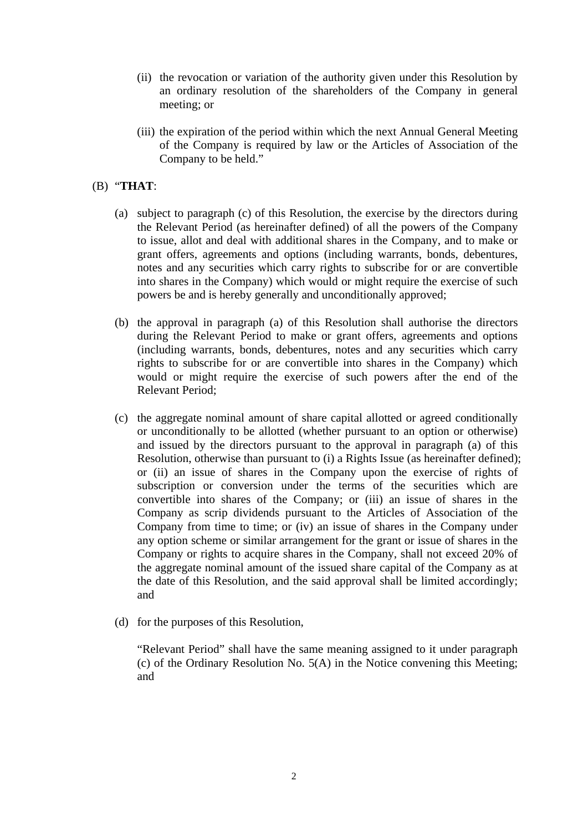- (ii) the revocation or variation of the authority given under this Resolution by an ordinary resolution of the shareholders of the Company in general meeting; or
- (iii) the expiration of the period within which the next Annual General Meeting of the Company is required by law or the Articles of Association of the Company to be held."

## (B) "**THAT**:

- (a) subject to paragraph (c) of this Resolution, the exercise by the directors during the Relevant Period (as hereinafter defined) of all the powers of the Company to issue, allot and deal with additional shares in the Company, and to make or grant offers, agreements and options (including warrants, bonds, debentures, notes and any securities which carry rights to subscribe for or are convertible into shares in the Company) which would or might require the exercise of such powers be and is hereby generally and unconditionally approved;
- (b) the approval in paragraph (a) of this Resolution shall authorise the directors during the Relevant Period to make or grant offers, agreements and options (including warrants, bonds, debentures, notes and any securities which carry rights to subscribe for or are convertible into shares in the Company) which would or might require the exercise of such powers after the end of the Relevant Period;
- (c) the aggregate nominal amount of share capital allotted or agreed conditionally or unconditionally to be allotted (whether pursuant to an option or otherwise) and issued by the directors pursuant to the approval in paragraph (a) of this Resolution, otherwise than pursuant to (i) a Rights Issue (as hereinafter defined); or (ii) an issue of shares in the Company upon the exercise of rights of subscription or conversion under the terms of the securities which are convertible into shares of the Company; or (iii) an issue of shares in the Company as scrip dividends pursuant to the Articles of Association of the Company from time to time; or (iv) an issue of shares in the Company under any option scheme or similar arrangement for the grant or issue of shares in the Company or rights to acquire shares in the Company, shall not exceed 20% of the aggregate nominal amount of the issued share capital of the Company as at the date of this Resolution, and the said approval shall be limited accordingly; and
- (d) for the purposes of this Resolution,

 "Relevant Period" shall have the same meaning assigned to it under paragraph (c) of the Ordinary Resolution No. 5(A) in the Notice convening this Meeting; and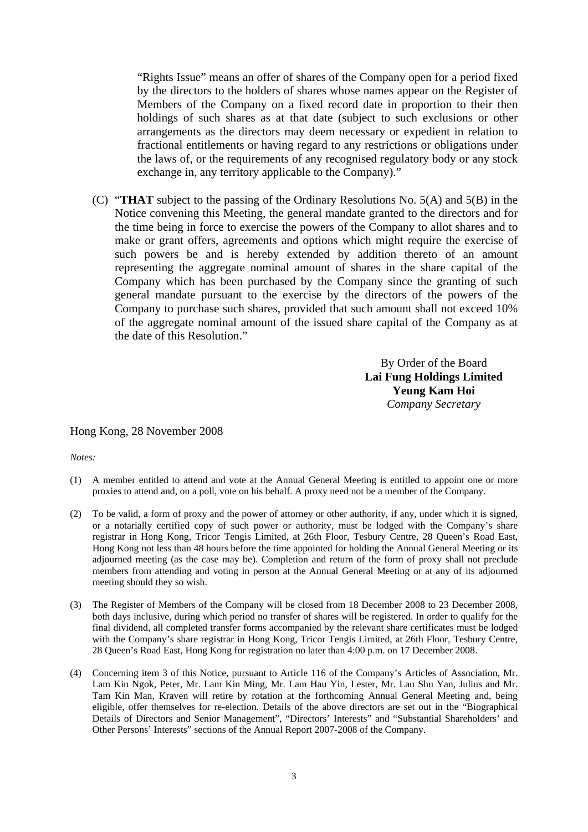"Rights Issue" means an offer of shares of the Company open for a period fixed by the directors to the holders of shares whose names appear on the Register of Members of the Company on a fixed record date in proportion to their then holdings of such shares as at that date (subject to such exclusions or other arrangements as the directors may deem necessary or expedient in relation to fractional entitlements or having regard to any restrictions or obligations under the laws of, or the requirements of any recognised regulatory body or any stock exchange in, any territory applicable to the Company)."

(C) "**THAT** subject to the passing of the Ordinary Resolutions No. 5(A) and 5(B) in the Notice convening this Meeting, the general mandate granted to the directors and for the time being in force to exercise the powers of the Company to allot shares and to make or grant offers, agreements and options which might require the exercise of such powers be and is hereby extended by addition thereto of an amount representing the aggregate nominal amount of shares in the share capital of the Company which has been purchased by the Company since the granting of such general mandate pursuant to the exercise by the directors of the powers of the Company to purchase such shares, provided that such amount shall not exceed 10% of the aggregate nominal amount of the issued share capital of the Company as at the date of this Resolution."

> By Order of the Board **Lai Fung Holdings Limited Yeung Kam Hoi**  *Company Secretary*

## Hong Kong, 28 November 2008

*Notes:* 

- (1) A member entitled to attend and vote at the Annual General Meeting is entitled to appoint one or more proxies to attend and, on a poll, vote on his behalf. A proxy need not be a member of the Company.
- (2) To be valid, a form of proxy and the power of attorney or other authority, if any, under which it is signed, or a notarially certified copy of such power or authority, must be lodged with the Company's share registrar in Hong Kong, Tricor Tengis Limited, at 26th Floor, Tesbury Centre, 28 Queen's Road East, Hong Kong not less than 48 hours before the time appointed for holding the Annual General Meeting or its adjourned meeting (as the case may be). Completion and return of the form of proxy shall not preclude members from attending and voting in person at the Annual General Meeting or at any of its adjourned meeting should they so wish.
- (3) The Register of Members of the Company will be closed from 18 December 2008 to 23 December 2008, both days inclusive, during which period no transfer of shares will be registered. In order to qualify for the final dividend, all completed transfer forms accompanied by the relevant share certificates must be lodged with the Company's share registrar in Hong Kong, Tricor Tengis Limited, at 26th Floor, Tesbury Centre, 28 Queen's Road East, Hong Kong for registration no later than 4:00 p.m. on 17 December 2008.
- (4) Concerning item 3 of this Notice, pursuant to Article 116 of the Company's Articles of Association, Mr. Lam Kin Ngok, Peter, Mr. Lam Kin Ming, Mr. Lam Hau Yin, Lester, Mr. Lau Shu Yan, Julius and Mr. Tam Kin Man, Kraven will retire by rotation at the forthcoming Annual General Meeting and, being eligible, offer themselves for re-election. Details of the above directors are set out in the "Biographical Details of Directors and Senior Management", "Directors' Interests" and "Substantial Shareholders' and Other Persons' Interests" sections of the Annual Report 2007-2008 of the Company.